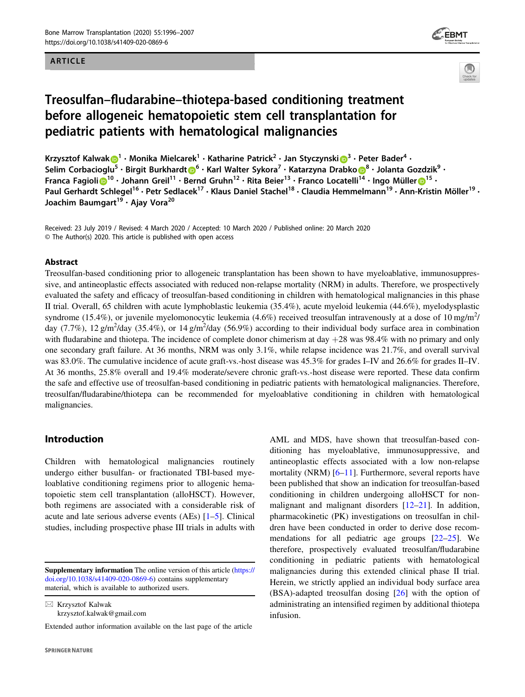### ARTICLE





# Treosulfan–fludarabine–thiotepa-based conditioning treatment before allogeneic hematopoietic stem cell transplantation for pediatric patients with hematological malignancies

Krzysztof Kalwa[k](http://orcid.org/0000-0003-1174-5799) $\bigcirc^1 \cdot$  $\bigcirc^1 \cdot$  $\bigcirc^1 \cdot$  Monika Mielcarek $^1 \cdot$  Katharine Patrick $^2 \cdot$  Jan Styczynski $\bigcirc^3 \cdot$  $\bigcirc^3 \cdot$  $\bigcirc^3 \cdot$  Peter Bader $^4 \cdot$ Selim Corbacioglu<sup>5</sup> • Birgi[t](http://orcid.org/0000-0002-1151-829X) Burkhardt D<sup>[6](http://orcid.org/0000-0002-1151-829X)</sup> • Karl Walter Syk[o](http://orcid.org/0000-0002-7094-9129)ra<sup>7</sup> • Katarzyna Drabko D<sup>[8](http://orcid.org/0000-0002-7094-9129)</sup> • Jolanta Gozdzik<sup>9</sup> • Franca Fagioli D<sup>[1](http://orcid.org/0000-0002-7477-6632)0</sup> • Johann Greil<sup>11</sup> • Bernd Gruhn<sup>12</sup> • Rita Beier<sup>13</sup> • Franco Locatelli<sup>[14](http://orcid.org/0000-0002-7094-9129)</sup> • Ingo Mülle[r](http://orcid.org/0000-0002-7477-6632) D<sup>15</sup> • Paul Gerhardt Schlegel<sup>16</sup> • Petr Sedlacek<sup>17</sup> • Klaus Daniel Stachel<sup>18</sup> • Claudia Hemmelmann<sup>19</sup> • Ann-Kristin Möller<sup>19</sup> • Joachim Baumgart<sup>19</sup> • Ajay Vora<sup>20</sup>

Received: 23 July 2019 / Revised: 4 March 2020 / Accepted: 10 March 2020 / Published online: 20 March 2020 © The Author(s) 2020. This article is published with open access

#### Abstract

Treosulfan-based conditioning prior to allogeneic transplantation has been shown to have myeloablative, immunosuppressive, and antineoplastic effects associated with reduced non-relapse mortality (NRM) in adults. Therefore, we prospectively evaluated the safety and efficacy of treosulfan-based conditioning in children with hematological malignancies in this phase II trial. Overall, 65 children with acute lymphoblastic leukemia (35.4%), acute myeloid leukemia (44.6%), myelodysplastic syndrome (15.4%), or juvenile myelomonocytic leukemia (4.6%) received treosulfan intravenously at a dose of 10 mg/m<sup>2</sup>/ day (7.7%), 12 g/m<sup>2</sup>/day (35.4%), or 14 g/m<sup>2</sup>/day (56.9%) according to their individual body surface area in combination with fludarabine and thiotepa. The incidence of complete donor chimerism at day  $+28$  was  $98.4\%$  with no primary and only one secondary graft failure. At 36 months, NRM was only 3.1%, while relapse incidence was 21.7%, and overall survival was 83.0%. The cumulative incidence of acute graft-vs.-host disease was 45.3% for grades I–IV and 26.6% for grades II–IV. At 36 months, 25.8% overall and 19.4% moderate/severe chronic graft-vs.-host disease were reported. These data confirm the safe and effective use of treosulfan-based conditioning in pediatric patients with hematological malignancies. Therefore, treosulfan/fludarabine/thiotepa can be recommended for myeloablative conditioning in children with hematological malignancies.

# Introduction

Children with hematological malignancies routinely undergo either busulfan- or fractionated TBI-based myeloablative conditioning regimens prior to allogenic hematopoietic stem cell transplantation (alloHSCT). However, both regimens are associated with a considerable risk of acute and late serious adverse events (AEs) [[1](#page-9-0)–[5\]](#page-9-0). Clinical studies, including prospective phase III trials in adults with

 $\boxtimes$  Krzysztof Kalwak [krzysztof.kalwak@gmail.com](mailto:krzysztof.kalwak@gmail.com) AML and MDS, have shown that treosulfan-based conditioning has myeloablative, immunosuppressive, and antineoplastic effects associated with a low non-relapse mortality (NRM) [[6](#page-9-0)–[11\]](#page-9-0). Furthermore, several reports have been published that show an indication for treosulfan-based conditioning in children undergoing alloHSCT for nonmalignant and malignant disorders [[12](#page-9-0)–[21](#page-9-0)]. In addition, pharmacokinetic (PK) investigations on treosulfan in children have been conducted in order to derive dose recommendations for all pediatric age groups [[22](#page-9-0)–[25](#page-10-0)]. We therefore, prospectively evaluated treosulfan/fludarabine conditioning in pediatric patients with hematological malignancies during this extended clinical phase II trial. Herein, we strictly applied an individual body surface area (BSA)-adapted treosulfan dosing [[26\]](#page-10-0) with the option of administrating an intensified regimen by additional thiotepa infusion.

Supplementary information The online version of this article ([https://](https://doi.org/10.1038/s41409-020-0869-6) [doi.org/10.1038/s41409-020-0869-6\)](https://doi.org/10.1038/s41409-020-0869-6) contains supplementary material, which is available to authorized users.

Extended author information available on the last page of the article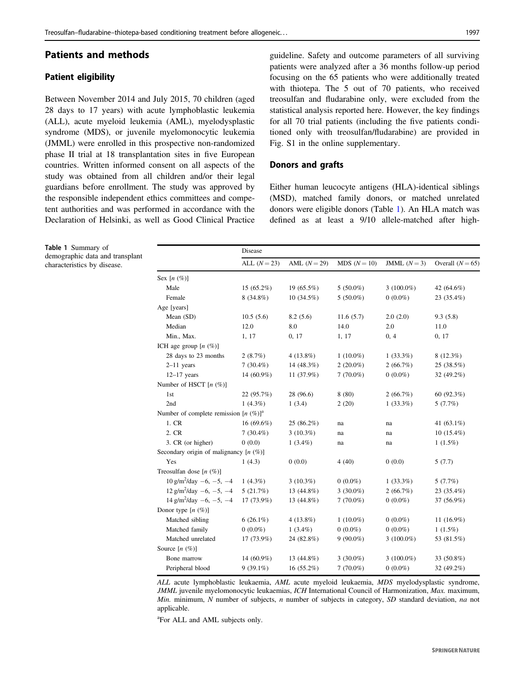# <span id="page-1-0"></span>Patients and methods

# Patient eligibility

Table 1 Summary of

demographic data and transplant characteristics by disease.

Between November 2014 and July 2015, 70 children (aged 28 days to 17 years) with acute lymphoblastic leukemia (ALL), acute myeloid leukemia (AML), myelodysplastic syndrome (MDS), or juvenile myelomonocytic leukemia (JMML) were enrolled in this prospective non-randomized phase II trial at 18 transplantation sites in five European countries. Written informed consent on all aspects of the study was obtained from all children and/or their legal guardians before enrollment. The study was approved by the responsible independent ethics committees and competent authorities and was performed in accordance with the Declaration of Helsinki, as well as Good Clinical Practice guideline. Safety and outcome parameters of all surviving patients were analyzed after a 36 months follow-up period focusing on the 65 patients who were additionally treated with thiotepa. The 5 out of 70 patients, who received treosulfan and fludarabine only, were excluded from the statistical analysis reported here. However, the key findings for all 70 trial patients (including the five patients conditioned only with treosulfan/fludarabine) are provided in Fig. S1 in the online supplementary.

#### Donors and grafts

Either human leucocyte antigens (HLA)-identical siblings (MSD), matched family donors, or matched unrelated donors were eligible donors (Table 1). An HLA match was defined as at least a 9/10 allele-matched after high-

|                                                | Disease      |                |              |              |                    |  |
|------------------------------------------------|--------------|----------------|--------------|--------------|--------------------|--|
|                                                | ALL $(N=23)$ | AML $(N = 29)$ | $MDS(N=10)$  | JMML $(N=3)$ | Overall $(N = 65)$ |  |
| Sex $[n \ (\%)]$                               |              |                |              |              |                    |  |
| Male                                           | $15(65.2\%)$ | 19 (65.5%)     | $5(50.0\%)$  | $3(100.0\%)$ | 42 (64.6%)         |  |
| Female                                         | $8(34.8\%)$  | $10(34.5\%)$   | $5(50.0\%)$  | $0(0.0\%)$   | 23 (35.4%)         |  |
| Age [years]                                    |              |                |              |              |                    |  |
| Mean (SD)                                      | 10.5(5.6)    | 8.2(5.6)       | 11.6(5.7)    | 2.0(2.0)     | 9.3(5.8)           |  |
| Median                                         | 12.0         | 8.0            | 14.0         | 2.0          | 11.0               |  |
| Min., Max.                                     | 1, 17        | 0, 17          | 1, 17        | 0, 4         | 0, 17              |  |
| ICH age group $[n \ (\%)]$                     |              |                |              |              |                    |  |
| 28 days to 23 months                           | 2(8.7%)      | $4(13.8\%)$    | $1(10.0\%)$  | $1(33.3\%)$  | $8(12.3\%)$        |  |
| $2-11$ years                                   | $7(30.4\%)$  | 14 (48.3%)     | $2(20.0\%)$  | 2(66.7%)     | 25 (38.5%)         |  |
| $12-17$ years                                  | 14 (60.9%)   | 11 (37.9%)     | $7(70.0\%)$  | $0(0.0\%)$   | 32 (49.2%)         |  |
| Number of HSCT $[n (%)]$                       |              |                |              |              |                    |  |
| 1st                                            | 22 (95.7%)   | 28 (96.6)      | 8(80)        | 2(66.7%)     | 60 $(92.3\%)$      |  |
| 2nd                                            | 1 $(4.3\%)$  | 1(3.4)         | 2(20)        | $1(33.3\%)$  | 5(7.7%)            |  |
| Number of complete remission $[n \ (\%)]^a$    |              |                |              |              |                    |  |
| 1. CR                                          | $16(69.6\%)$ | $25(86.2\%)$   | na           | na           | 41 $(63.1\%)$      |  |
| 2. CR                                          | $7(30.4\%)$  | $3(10.3\%)$    | na           | na           | $10(15.4\%)$       |  |
| 3. CR (or higher)                              | 0(0.0)       | $1(3.4\%)$     | na           | na           | $1(1.5\%)$         |  |
| Secondary origin of malignancy $[n \ (\%)]$    |              |                |              |              |                    |  |
| Yes                                            | 1(4.3)       | 0(0.0)         | 4(40)        | 0(0.0)       | 5(7.7)             |  |
| Treosulfan dose $[n \ (\%)]$                   |              |                |              |              |                    |  |
| $10 \text{ g/m}^2/\text{day} -6$ , $-5$ , $-4$ | 1 $(4.3\%)$  | $3(10.3\%)$    | $0(0.0\%)$   | $1(33.3\%)$  | 5(7.7%)            |  |
| $12 \text{ g/m}^2/\text{day} -6$ , $-5$ , $-4$ | 5(21.7%)     | 13 (44.8%)     | 3 $(30.0\%)$ | 2(66.7%)     | 23 (35.4%)         |  |
| $14 \text{ g/m}^2/\text{day} -6$ , $-5$ , $-4$ | 17 (73.9%)   | 13 (44.8%)     | $7(70.0\%)$  | $0(0.0\%)$   | 37 (56.9%)         |  |
| Donor type $[n \ (\%)]$                        |              |                |              |              |                    |  |
| Matched sibling                                | $6(26.1\%)$  | $4(13.8\%)$    | $1(10.0\%)$  | $0(0.0\%)$   | 11 $(16.9%)$       |  |
| Matched family                                 | $0(0.0\%)$   | $1(3.4\%)$     | $0(0.0\%)$   | $0(0.0\%)$   | $1(1.5\%)$         |  |
| Matched unrelated                              | 17 (73.9%)   | 24 (82.8%)     | $9(90.0\%)$  | $3(100.0\%)$ | 53 (81.5%)         |  |
| Source $[n (%)]$                               |              |                |              |              |                    |  |
| Bone marrow                                    | 14 (60.9%)   | 13 (44.8%)     | 3 $(30.0\%)$ | $3(100.0\%)$ | 33 (50.8%)         |  |
| Peripheral blood                               | $9(39.1\%)$  | 16 (55.2%)     | $7(70.0\%)$  | $0(0.0\%)$   | 32 (49.2%)         |  |

ALL acute lymphoblastic leukaemia, AML acute myeloid leukaemia, MDS myelodysplastic syndrome, JMML juvenile myelomonocytic leukaemias, ICH International Council of Harmonization, Max. maximum, *Min.* minimum, N number of subjects, n number of subjects in category, SD standard deviation, na not applicable.

a For ALL and AML subjects only.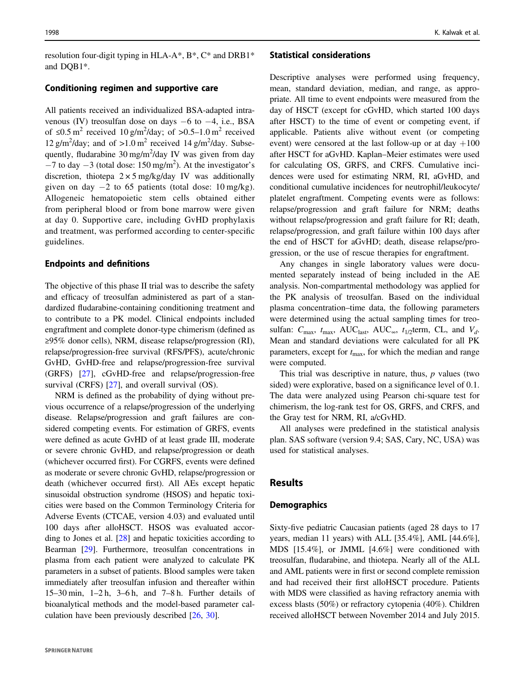resolution four-digit typing in HLA-A\*, B\*, C\* and DRB1\* and DQB1\*.

#### Conditioning regimen and supportive care

All patients received an individualized BSA-adapted intravenous (IV) treosulfan dose on days −6 to −4, i.e., BSA of ≤0.5 m<sup>2</sup> received 10 g/m<sup>2</sup>/day; of >0.5–1.0 m<sup>2</sup> received 12 g/m<sup>2</sup>/day; and of >1.0 m<sup>2</sup> received 14 g/m<sup>2</sup>/day. Subsequently, fludarabine 30 mg/m<sup>2</sup>/day IV was given from day  $-7$  to day  $-3$  (total dose: 150 mg/m<sup>2</sup>). At the investigator's discretion, thiotepa  $2 \times 5$  mg/kg/day IV was additionally given on day  $-2$  to 65 patients (total dose: 10 mg/kg). Allogeneic hematopoietic stem cells obtained either from peripheral blood or from bone marrow were given at day 0. Supportive care, including GvHD prophylaxis and treatment, was performed according to center-specific guidelines.

#### Endpoints and definitions

The objective of this phase II trial was to describe the safety and efficacy of treosulfan administered as part of a standardized fludarabine-containing conditioning treatment and to contribute to a PK model. Clinical endpoints included engraftment and complete donor-type chimerism (defined as ≥95% donor cells), NRM, disease relapse/progression (RI), relapse/progression-free survival (RFS/PFS), acute/chronic GvHD, GvHD-free and relapse/progression-free survival (GRFS) [[27\]](#page-10-0), cGvHD-free and relapse/progression-free survival (CRFS) [\[27](#page-10-0)], and overall survival (OS).

NRM is defined as the probability of dying without previous occurrence of a relapse/progression of the underlying disease. Relapse/progression and graft failures are considered competing events. For estimation of GRFS, events were defined as acute GvHD of at least grade III, moderate or severe chronic GvHD, and relapse/progression or death (whichever occurred first). For CGRFS, events were defined as moderate or severe chronic GvHD, relapse/progression or death (whichever occurred first). All AEs except hepatic sinusoidal obstruction syndrome (HSOS) and hepatic toxicities were based on the Common Terminology Criteria for Adverse Events (CTCAE, version 4.03) and evaluated until 100 days after alloHSCT. HSOS was evaluated according to Jones et al. [[28\]](#page-10-0) and hepatic toxicities according to Bearman [\[29](#page-10-0)]. Furthermore, treosulfan concentrations in plasma from each patient were analyzed to calculate PK parameters in a subset of patients. Blood samples were taken immediately after treosulfan infusion and thereafter within 15–30 min, 1–2 h, 3–6 h, and 7–8 h. Further details of bioanalytical methods and the model-based parameter calculation have been previously described [\[26,](#page-10-0) [30](#page-10-0)].

#### Statistical considerations

Descriptive analyses were performed using frequency, mean, standard deviation, median, and range, as appropriate. All time to event endpoints were measured from the day of HSCT (except for cGvHD, which started 100 days after HSCT) to the time of event or competing event, if applicable. Patients alive without event (or competing event) were censored at the last follow-up or at day  $+100$ after HSCT for aGvHD. Kaplan–Meier estimates were used for calculating OS, GRFS, and CRFS. Cumulative incidences were used for estimating NRM, RI, aGvHD, and conditional cumulative incidences for neutrophil/leukocyte/ platelet engraftment. Competing events were as follows: relapse/progression and graft failure for NRM; deaths without relapse/progression and graft failure for RI; death, relapse/progression, and graft failure within 100 days after the end of HSCT for aGvHD; death, disease relapse/progression, or the use of rescue therapies for engraftment.

Any changes in single laboratory values were documented separately instead of being included in the AE analysis. Non-compartmental methodology was applied for the PK analysis of treosulfan. Based on the individual plasma concentration–time data, the following parameters were determined using the actual sampling times for treosulfan:  $C_{\text{max}}$ ,  $t_{\text{max}}$ , AUC<sub>last</sub>, AUC<sub>∞</sub>,  $t_{1/2}$ term, CL, and  $V_d$ . Mean and standard deviations were calculated for all PK parameters, except for  $t_{\text{max}}$ , for which the median and range were computed.

This trial was descriptive in nature, thus,  $p$  values (two sided) were explorative, based on a significance level of 0.1. The data were analyzed using Pearson chi-square test for chimerism, the log-rank test for OS, GRFS, and CRFS, and the Gray test for NRM, RI, a/cGvHD.

All analyses were predefined in the statistical analysis plan. SAS software (version 9.4; SAS, Cary, NC, USA) was used for statistical analyses.

# Results

#### **Demographics**

Sixty-five pediatric Caucasian patients (aged 28 days to 17 years, median 11 years) with ALL [35.4%], AML [44.6%], MDS [15.4%], or JMML [4.6%] were conditioned with treosulfan, fludarabine, and thiotepa. Nearly all of the ALL and AML patients were in first or second complete remission and had received their first alloHSCT procedure. Patients with MDS were classified as having refractory anemia with excess blasts (50%) or refractory cytopenia (40%). Children received alloHSCT between November 2014 and July 2015.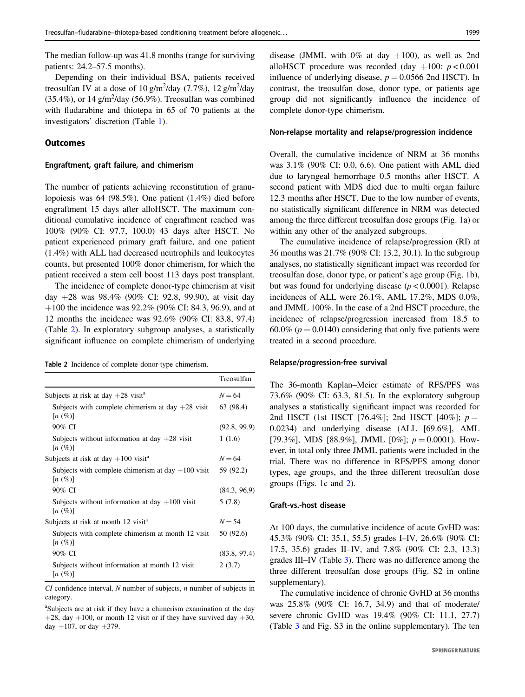The median follow-up was 41.8 months (range for surviving patients: 24.2–57.5 months).

Depending on their individual BSA, patients received treosulfan IV at a dose of 10 g/m<sup>2</sup>/day (7.7%), 12 g/m<sup>2</sup>/day  $(35.4\%)$ , or 14 g/m<sup>2</sup>/day (56.9%). Treosulfan was combined with fludarabine and thiotepa in 65 of 70 patients at the investigators' discretion (Table [1](#page-1-0)).

### **Outcomes**

### Engraftment, graft failure, and chimerism

The number of patients achieving reconstitution of granulopoiesis was 64 (98.5%). One patient (1.4%) died before engraftment 15 days after alloHSCT. The maximum conditional cumulative incidence of engraftment reached was 100% (90% CI: 97.7, 100.0) 43 days after HSCT. No patient experienced primary graft failure, and one patient (1.4%) with ALL had decreased neutrophils and leukocytes counts, but presented 100% donor chimerism, for which the patient received a stem cell boost 113 days post transplant.

The incidence of complete donor-type chimerism at visit day +28 was 98.4% (90% CI: 92.8, 99.90), at visit day  $+100$  the incidence was 92.2% (90% CI: 84.3, 96.9), and at 12 months the incidence was 92.6% (90% CI: 83.8, 97.4) (Table 2). In exploratory subgroup analyses, a statistically significant influence on complete chimerism of underlying

Table 2 Incidence of complete donor-type chimerism.

|                                                                                      | Treosulfan   |
|--------------------------------------------------------------------------------------|--------------|
| Subjects at risk at day $+28$ visit <sup>a</sup>                                     | $N = 64$     |
| Subjects with complete chimerism at day $+28$ visit<br>$\left\lceil n \right\rceil$  | 63 (98.4)    |
| 90% CI                                                                               | (92.8, 99.9) |
| Subjects without information at day $+28$ visit<br>$\left\lceil n \right\rceil$      | 1(1.6)       |
| Subjects at risk at day $+100$ visit <sup>a</sup>                                    | $N = 64$     |
| Subjects with complete chimerism at day $+100$ visit<br>$\left\lceil n \right\rceil$ | 59 (92.2)    |
| 90% CI                                                                               | (84.3, 96.9) |
| Subjects without information at day $+100$ visit<br>$\left\lceil n \right\rceil$     | 5(7.8)       |
| Subjects at risk at month 12 visit <sup>a</sup>                                      | $N = 54$     |
| Subjects with complete chimerism at month 12 visit<br>$\left\lceil n \right\rceil$   | 50 (92.6)    |
| 90% CI                                                                               | (83.8, 97.4) |
| Subjects without information at month 12 visit<br>$\left\lceil n \right\rceil$       | 2(3.7)       |

 $CI$  confidence interval,  $N$  number of subjects,  $n$  number of subjects in category.

a Subjects are at risk if they have a chimerism examination at the day  $+28$ , day  $+100$ , or month 12 visit or if they have survived day  $+30$ , day  $+107$ , or day  $+379$ .

disease (JMML with  $0\%$  at day  $+100$ ), as well as 2nd alloHSCT procedure was recorded (day  $+100$ :  $p < 0.001$ influence of underlying disease,  $p = 0.0566$  2nd HSCT). In contrast, the treosulfan dose, donor type, or patients age group did not significantly influence the incidence of complete donor-type chimerism.

#### Non-relapse mortality and relapse/progression incidence

Overall, the cumulative incidence of NRM at 36 months was 3.1% (90% CI: 0.0, 6.6). One patient with AML died due to laryngeal hemorrhage 0.5 months after HSCT. A second patient with MDS died due to multi organ failure 12.3 months after HSCT. Due to the low number of events, no statistically significant difference in NRM was detected among the three different treosulfan dose groups (Fig. [1](#page-4-0)a) or within any other of the analyzed subgroups.

The cumulative incidence of relapse/progression (RI) at 36 months was 21.7% (90% CI: 13.2, 30.1). In the subgroup analyses, no statistically significant impact was recorded for treosulfan dose, donor type, or patient's age group (Fig. [1b](#page-4-0)), but was found for underlying disease  $(p < 0.0001)$ . Relapse incidences of ALL were 26.1%, AML 17.2%, MDS 0.0%, and JMML 100%. In the case of a 2nd HSCT procedure, the incidence of relapse/progression increased from 18.5 to 60.0% ( $p = 0.0140$ ) considering that only five patients were treated in a second procedure.

#### Relapse/progression-free survival

The 36-month Kaplan–Meier estimate of RFS/PFS was 73.6% (90% CI: 63.3, 81.5). In the exploratory subgroup analyses a statistically significant impact was recorded for 2nd HSCT (1st HSCT [76.4%]; 2nd HSCT [40%];  $p =$ 0.0234) and underlying disease (ALL [69.6%], AML [79.3%], MDS [88.9%], JMML [0%];  $p = 0.0001$ ). However, in total only three JMML patients were included in the trial. There was no difference in RFS/PFS among donor types, age groups, and the three different treosulfan dose groups (Figs. [1c](#page-4-0) and [2\)](#page-5-0).

### Graft-vs.-host disease

At 100 days, the cumulative incidence of acute GvHD was: 45.3% (90% CI: 35.1, 55.5) grades I–IV, 26.6% (90% CI: 17.5, 35.6) grades II–IV, and 7.8% (90% CI: 2.3, 13.3) grades III–IV (Table [3\)](#page-6-0). There was no difference among the three different treosulfan dose groups (Fig. S2 in online supplementary).

The cumulative incidence of chronic GvHD at 36 months was 25.8% (90% CI: 16.7, 34.9) and that of moderate/ severe chronic GvHD was 19.4% (90% CI: 11.1, 27.7) (Table [3](#page-6-0) and Fig. S3 in the online supplementary). The ten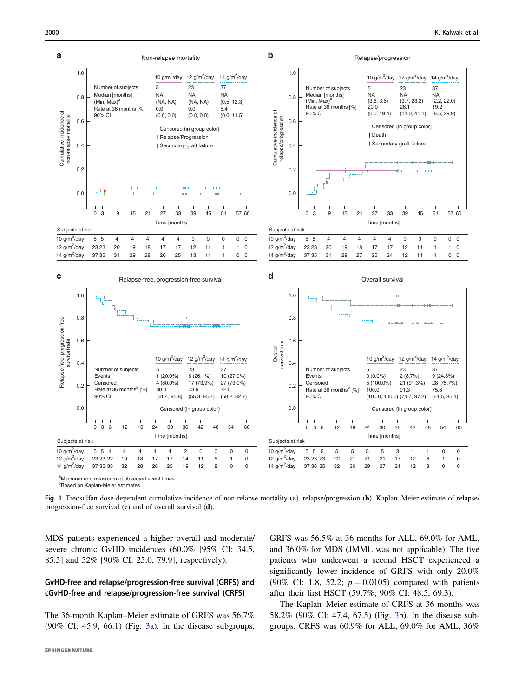<span id="page-4-0"></span>

<sup>b</sup>Based on Kaplan-Meier estimates

Fig. 1 Treosulfan dose-dependent cumulative incidence of non-relapse mortality (a), relapse/progression (b), Kaplan–Meier estimate of relapse/ progression-free survival (c) and of overall survival (d).

MDS patients experienced a higher overall and moderate/ severe chronic GvHD incidences (60.0% [95% CI: 34.5, 85.5] and 52% [90% CI: 25.0, 79.9], respectively).

# GvHD-free and relapse/progression-free survival (GRFS) and cGvHD-free and relapse/progression-free survival (CRFS)

The 36-month Kaplan–Meier estimate of GRFS was 56.7% (90% CI: 45.9, 66.1) (Fig. [3](#page-6-0)a). In the disease subgroups, GRFS was 56.5% at 36 months for ALL, 69.0% for AML, and 36.0% for MDS (JMML was not applicable). The five patients who underwent a second HSCT experienced a significantly lower incidence of GRFS with only 20.0% (90% CI: 1.8, 52.2;  $p = 0.0105$ ) compared with patients after their first HSCT (59.7%; 90% CI: 48.5, 69.3).

The Kaplan–Meier estimate of CRFS at 36 months was 58.2% (90% CI: 47.4, 67.5) (Fig. [3b](#page-6-0)). In the disease subgroups, CRFS was 60.9% for ALL, 69.0% for AML, 36%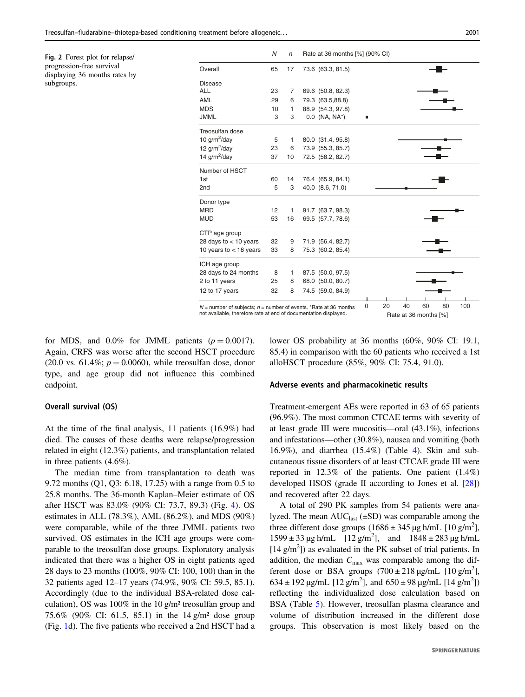<span id="page-5-0"></span>Fig. 2 Forest plot for relapse/ progression-free survival displaying 36 months rates by subgroups.

|                                                                      | N  | $\sqrt{n}$ | Rate at 36 months [%] (90% CI)             |
|----------------------------------------------------------------------|----|------------|--------------------------------------------|
| Overall                                                              | 65 | 17         | 73.6 (63.3, 81.5)                          |
| Disease                                                              |    |            |                                            |
| <b>ALL</b>                                                           | 23 | 7          | 69.6 (50.8, 82.3)                          |
| AML                                                                  | 29 | 6          | 79.3 (63.5,88.8)                           |
| <b>MDS</b>                                                           | 10 | 1          | 88.9 (54.3, 97.8)                          |
| <b>JMML</b>                                                          | 3  | 3          | 0.0 (NA, NA*)<br>п                         |
| Treosulfan dose                                                      |    |            |                                            |
| 10 $g/m^2$ /day                                                      | 5  | 1          | 80.0 (31.4, 95.8)                          |
| 12 $g/m^2$ /day                                                      | 23 | 6          | 73.9 (55.3, 85.7)                          |
| 14 $g/m^2$ /day                                                      | 37 | 10         | 72.5 (58.2, 82.7)                          |
| Number of HSCT                                                       |    |            |                                            |
| 1st                                                                  | 60 | 14         | 76.4 (65.9, 84.1)                          |
| 2 <sub>nd</sub>                                                      | 5  | 3          | 40.0 (8.6, 71.0)                           |
| Donor type                                                           |    |            |                                            |
| <b>MRD</b>                                                           | 12 | 1          | 91.7 (63.7, 98.3)                          |
| <b>MUD</b>                                                           | 53 | 16         | 69.5 (57.7, 78.6)                          |
| CTP age group                                                        |    |            |                                            |
| 28 days to $<$ 10 years                                              | 32 | 9          | 71.9 (56.4, 82.7)                          |
| 10 years to $<$ 18 years                                             | 33 | 8          | 75.3 (60.2, 85.4)                          |
| ICH age group                                                        |    |            |                                            |
| 28 days to 24 months                                                 | 8  | 1          | 87.5 (50.0, 97.5)                          |
| 2 to 11 years                                                        | 25 | 8          | 68.0 (50.0, 80.7)                          |
| 12 to 17 years                                                       | 32 | 8          | 74.5 (59.0, 84.9)                          |
|                                                                      |    |            |                                            |
| $N =$ number of subjects; $n =$ number of events. *Rate at 36 months |    |            | 20<br>40<br>100<br>$\mathbf 0$<br>60<br>80 |

*N* = number of subjects; *n* = number of events. \*Rate at 36 months not available, therefore rate at end of documentation displayed. Rate at 36 months [%]

for MDS, and 0.0% for JMML patients  $(p = 0.0017)$ . Again, CRFS was worse after the second HSCT procedure (20.0 vs. 61.4%;  $p = 0.0060$ ), while treosulfan dose, donor type, and age group did not influence this combined endpoint.

#### Overall survival (OS)

At the time of the final analysis, 11 patients (16.9%) had died. The causes of these deaths were relapse/progression related in eight (12.3%) patients, and transplantation related in three patients (4.6%).

The median time from transplantation to death was 9.72 months (Q1, Q3: 6.18, 17.25) with a range from 0.5 to 25.8 months. The 36-month Kaplan–Meier estimate of OS after HSCT was 83.0% (90% CI: 73.7, 89.3) (Fig. [4](#page-7-0)). OS estimates in ALL (78.3%), AML (86.2%), and MDS (90%) were comparable, while of the three JMML patients two survived. OS estimates in the ICH age groups were comparable to the treosulfan dose groups. Exploratory analysis indicated that there was a higher OS in eight patients aged 28 days to 23 months (100%, 90% CI: 100, 100) than in the 32 patients aged 12–17 years (74.9%, 90% CI: 59.5, 85.1). Accordingly (due to the individual BSA-related dose calculation), OS was 100% in the 10 g/m² treosulfan group and 75.6% (90% CI: 61.5, 85.1) in the 14 g/m² dose group (Fig. [1d](#page-4-0)). The five patients who received a 2nd HSCT had a lower OS probability at 36 months (60%, 90% CI: 19.1, 85.4) in comparison with the 60 patients who received a 1st alloHSCT procedure (85%, 90% CI: 75.4, 91.0).

#### Adverse events and pharmacokinetic results

Treatment-emergent AEs were reported in 63 of 65 patients (96.9%). The most common CTCAE terms with severity of at least grade III were mucositis—oral (43.1%), infections and infestations—other (30.8%), nausea and vomiting (both 16.9%), and diarrhea (15.4%) (Table [4](#page-7-0)). Skin and subcutaneous tissue disorders of at least CTCAE grade III were reported in  $12.3\%$  of the patients. One patient  $(1.4\%)$ developed HSOS (grade II according to Jones et al. [[28\]](#page-10-0)) and recovered after 22 days.

A total of 290 PK samples from 54 patients were analyzed. The mean  $AUC<sub>last</sub> (\pm SD)$  was comparable among the three different dose groups  $(1686 \pm 345 \,\mu g \,\text{h/mL}$  [10 g/m<sup>2</sup>],  $1599 \pm 33 \,\mu g \,h/mL$   $[12 \, g/m^2]$ , and  $1848 \pm 283 \,\mu g \,h/mL$  $[14 \text{ g/m}^2]$ ) as evaluated in the PK subset of trial patients. In addition, the median  $C_{\text{max}}$  was comparable among the different dose or BSA groups  $(700 \pm 218 \,\mu\text{g/mL}$  [10 g/m<sup>2</sup>],  $634 \pm 192 \,\mu\text{g/mL}$  [12 g/m<sup>2</sup>], and  $650 \pm 98 \,\mu\text{g/mL}$  [14 g/m<sup>2</sup>]) reflecting the individualized dose calculation based on BSA (Table [5](#page-8-0)). However, treosulfan plasma clearance and volume of distribution increased in the different dose groups. This observation is most likely based on the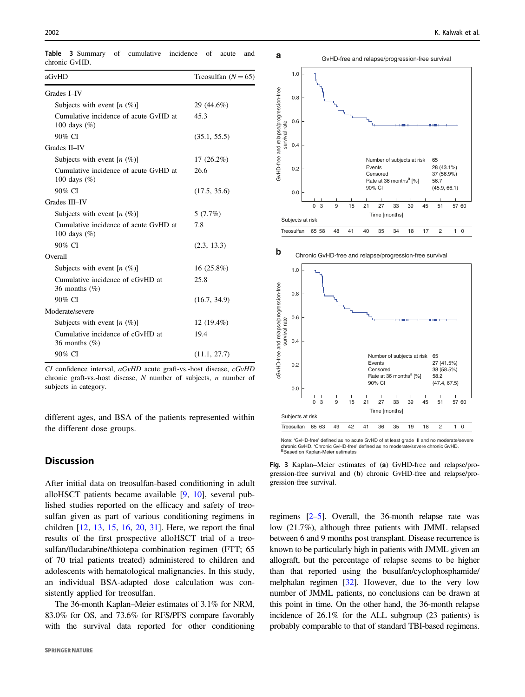| aGvHD                                                    | Treosulfan $(N = 65)$ |  |  |  |
|----------------------------------------------------------|-----------------------|--|--|--|
| Grades I-IV                                              |                       |  |  |  |
| Subjects with event $[n (%)]$                            | 29 (44.6%)            |  |  |  |
| Cumulative incidence of acute GvHD at<br>100 days $(\%)$ | 45.3                  |  |  |  |
| 90% CI                                                   | (35.1, 55.5)          |  |  |  |
| Grades II-IV                                             |                       |  |  |  |
| Subjects with event $[n (%)]$                            | $17(26.2\%)$          |  |  |  |
| Cumulative incidence of acute GvHD at<br>100 days $(\%)$ | 26.6                  |  |  |  |
| 90% CI                                                   | (17.5, 35.6)          |  |  |  |
| Grades III-IV                                            |                       |  |  |  |
| Subjects with event $[n (%)]$                            | 5(7.7%)               |  |  |  |
| Cumulative incidence of acute GyHD at<br>100 days $(\%)$ | 7.8                   |  |  |  |
| 90% CI                                                   | (2.3, 13.3)           |  |  |  |
| Overall                                                  |                       |  |  |  |
| Subjects with event $[n (%)]$                            | 16(25.8%)             |  |  |  |
| Cumulative incidence of cGvHD at<br>36 months $(\%)$     | 25.8                  |  |  |  |
| 90% CI                                                   | (16.7, 34.9)          |  |  |  |
| Moderate/severe                                          |                       |  |  |  |
| Subjects with event $[n \ (\%)]$                         | 12 (19.4%)            |  |  |  |
| Cumulative incidence of cGvHD at<br>36 months $(\%)$     | 19.4                  |  |  |  |
| 90% CI                                                   | (11.1, 27.7)          |  |  |  |

<span id="page-6-0"></span>Table 3 Summary of cumulative incidence of acute and chronic GvHD.

CI confidence interval, aGvHD acute graft-vs.-host disease, cGvHD chronic graft-vs.-host disease,  $N$  number of subjects,  $n$  number of subjects in category.

different ages, and BSA of the patients represented within the different dose groups.

# **Discussion**

After initial data on treosulfan-based conditioning in adult alloHSCT patients became available [\[9](#page-9-0), [10](#page-9-0)], several published studies reported on the efficacy and safety of treosulfan given as part of various conditioning regimens in children [\[12](#page-9-0), [13,](#page-9-0) [15,](#page-9-0) [16,](#page-9-0) [20,](#page-9-0) [31\]](#page-10-0). Here, we report the final results of the first prospective alloHSCT trial of a treosulfan/fludarabine/thiotepa combination regimen (FTT; 65 of 70 trial patients treated) administered to children and adolescents with hematological malignancies. In this study, an individual BSA-adapted dose calculation was consistently applied for treosulfan.

The 36-month Kaplan–Meier estimates of 3.1% for NRM, 83.0% for OS, and 73.6% for RFS/PFS compare favorably with the survival data reported for other conditioning





Chronic GvHD-free and relapse/progression-free survival

Note: 'GvHD-free' defined as no acute GvHD of at least grade III and no moderate/severe chronic GvHD. 'Chronic GvHD-free' defined as no moderate/severe chronic GvHD. a<br>Based on Kaplan-Meier estimates

Fig. 3 Kaplan–Meier estimates of (a) GvHD-free and relapse/progression-free survival and (b) chronic GvHD-free and relapse/progression-free survival.

regimens [[2](#page-9-0)–[5](#page-9-0)]. Overall, the 36-month relapse rate was low (21.7%), although three patients with JMML relapsed between 6 and 9 months post transplant. Disease recurrence is known to be particularly high in patients with JMML given an allograft, but the percentage of relapse seems to be higher than that reported using the busulfan/cyclophosphamide/ melphalan regimen [\[32\]](#page-10-0). However, due to the very low number of JMML patients, no conclusions can be drawn at this point in time. On the other hand, the 36-month relapse incidence of 26.1% for the ALL subgroup (23 patients) is probably comparable to that of standard TBI-based regimens.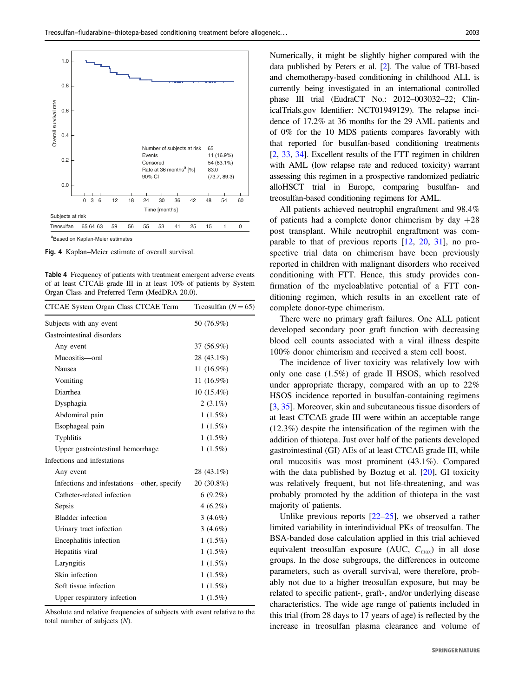<span id="page-7-0"></span>

Fig. 4 Kaplan–Meier estimate of overall survival.

Table 4 Frequency of patients with treatment emergent adverse events of at least CTCAE grade III in at least 10% of patients by System Organ Class and Preferred Term (MedDRA 20.0).

| CTCAE System Organ Class CTCAE Term        | Treosulfan $(N = 65)$ |  |
|--------------------------------------------|-----------------------|--|
| Subjects with any event                    | 50 (76.9%)            |  |
| Gastrointestinal disorders                 |                       |  |
| Any event                                  | 37 (56.9%)            |  |
| Mucositis-oral                             | 28 (43.1%)            |  |
| Nausea                                     | 11 $(16.9%)$          |  |
| Vomiting                                   | 11 $(16.9%)$          |  |
| Diarrhea                                   | $10(15.4\%)$          |  |
| Dysphagia                                  | $2(3.1\%)$            |  |
| Abdominal pain                             | $1(1.5\%)$            |  |
| Esophageal pain                            | $1(1.5\%)$            |  |
| Typhlitis                                  | $1(1.5\%)$            |  |
| Upper gastrointestinal hemorrhage          | $1(1.5\%)$            |  |
| Infections and infestations                |                       |  |
| Any event                                  | 28 (43.1%)            |  |
| Infections and infestations—other, specify | 20 (30.8%)            |  |
| Catheter-related infection                 | $6(9.2\%)$            |  |
| Sepsis                                     | $4(6.2\%)$            |  |
| <b>Bladder</b> infection                   | 3 $(4.6\%)$           |  |
| Urinary tract infection                    | 3 $(4.6\%)$           |  |
| Encephalitis infection                     | $1(1.5\%)$            |  |
| Hepatitis viral                            | $1(1.5\%)$            |  |
| Laryngitis                                 | $1(1.5\%)$            |  |
| Skin infection                             | $1(1.5\%)$            |  |
| Soft tissue infection                      | $1(1.5\%)$            |  |
| Upper respiratory infection                | $1(1.5\%)$            |  |
|                                            |                       |  |

Absolute and relative frequencies of subjects with event relative to the total number of subjects (N).

Numerically, it might be slightly higher compared with the data published by Peters et al. [\[2](#page-9-0)]. The value of TBI-based and chemotherapy-based conditioning in childhood ALL is currently being investigated in an international controlled phase III trial (EudraCT No.: 2012–003032–22; ClinicalTrials.gov Identifier: NCT01949129). The relapse incidence of 17.2% at 36 months for the 29 AML patients and of 0% for the 10 MDS patients compares favorably with that reported for busulfan-based conditioning treatments [\[2](#page-9-0), [33](#page-10-0), [34\]](#page-10-0). Excellent results of the FTT regimen in children with AML (low relapse rate and reduced toxicity) warrant assessing this regimen in a prospective randomized pediatric alloHSCT trial in Europe, comparing busulfan- and treosulfan-based conditioning regimens for AML.

All patients achieved neutrophil engraftment and 98.4% of patients had a complete donor chimerism by day  $+28$ post transplant. While neutrophil engraftment was comparable to that of previous reports [[12,](#page-9-0) [20,](#page-9-0) [31\]](#page-10-0), no prospective trial data on chimerism have been previously reported in children with malignant disorders who received conditioning with FTT. Hence, this study provides confirmation of the myeloablative potential of a FTT conditioning regimen, which results in an excellent rate of complete donor-type chimerism.

There were no primary graft failures. One ALL patient developed secondary poor graft function with decreasing blood cell counts associated with a viral illness despite 100% donor chimerism and received a stem cell boost.

The incidence of liver toxicity was relatively low with only one case (1.5%) of grade II HSOS, which resolved under appropriate therapy, compared with an up to 22% HSOS incidence reported in busulfan-containing regimens [\[3](#page-9-0), [35](#page-10-0)]. Moreover, skin and subcutaneous tissue disorders of at least CTCAE grade III were within an acceptable range (12.3%) despite the intensification of the regimen with the addition of thiotepa. Just over half of the patients developed gastrointestinal (GI) AEs of at least CTCAE grade III, while oral mucositis was most prominent (43.1%). Compared with the data published by Boztug et al. [\[20](#page-9-0)], GI toxicity was relatively frequent, but not life-threatening, and was probably promoted by the addition of thiotepa in the vast majority of patients.

Unlike previous reports  $[22-25]$  $[22-25]$  $[22-25]$  $[22-25]$ , we observed a rather limited variability in interindividual PKs of treosulfan. The BSA-banded dose calculation applied in this trial achieved equivalent treosulfan exposure (AUC,  $C_{\text{max}}$ ) in all dose groups. In the dose subgroups, the differences in outcome parameters, such as overall survival, were therefore, probably not due to a higher treosulfan exposure, but may be related to specific patient-, graft-, and/or underlying disease characteristics. The wide age range of patients included in this trial (from 28 days to 17 years of age) is reflected by the increase in treosulfan plasma clearance and volume of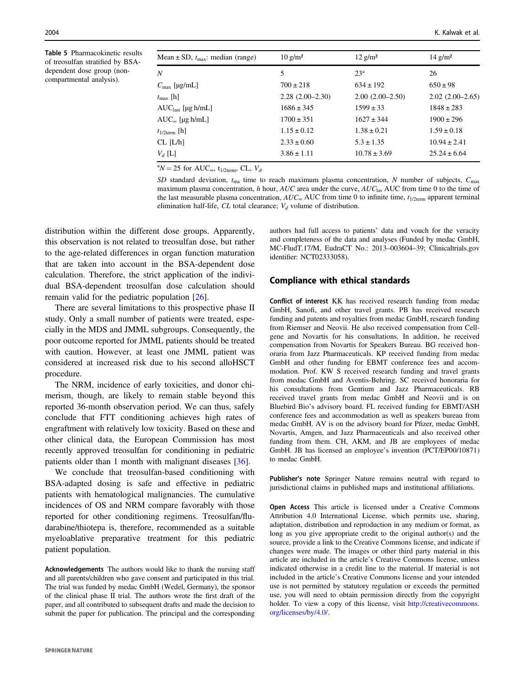<span id="page-8-0"></span>Table 5 Pharmacokinetic results of treosulfan stratified by BSAdependent dose group (noncompartmental analysis).

| Mean $\pm$ SD, $t_{\text{max}}$ : median (range) | $10 \text{ g/m}^2$ | $12$ g/m <sup>2</sup> | $14$ g/m <sup>2</sup> |
|--------------------------------------------------|--------------------|-----------------------|-----------------------|
| Ν                                                | 5                  | 23 <sup>a</sup>       | 26                    |
| $C_{\text{max}}$ [µg/mL]                         | $700 \pm 218$      | $634 \pm 192$         | $650 \pm 98$          |
| $t_{\text{max}}$ [h]                             | $2.28(2.00-2.30)$  | $2.00(2.00-2.50)$     | $2.02(2.00-2.65)$     |
| $AUClast$ [µg h/mL]                              | $1686 \pm 345$     | $1599 \pm 33$         | $1848 \pm 283$        |
| $AUC_{\infty}$ [µg h/mL]                         | $1700 \pm 351$     | $1627 \pm 344$        | $1900 \pm 296$        |
| $t_{1/2term}$ [h]                                | $1.15 \pm 0.12$    | $1.38 \pm 0.21$       | $1.59 \pm 0.18$       |
| $CL$ $[L/h]$                                     | $2.33 \pm 0.60$    | $5.3 \pm 1.35$        | $10.94 \pm 2.41$      |
| $V_d$ [L]                                        | $3.86 \pm 1.11$    | $10.78 \pm 3.69$      | $25.24 \pm 6.64$      |
|                                                  |                    |                       |                       |

<sup>a</sup> $N = 25$  for AUC<sub>∞</sub>, t<sub>1/2term</sub>, CL,  $V_{d}$ .

SD standard deviation,  $t_{\text{ma}}$  time to reach maximum plasma concentration, N number of subjects,  $C_{\text{max}}$ maximum plasma concentration, h hour, AUC area under the curve, AUC as AUC from time 0 to the time of the last measurable plasma concentration,  $AUC_{\infty}$  AUC from time 0 to infinite time,  $t_{1/2term}$  apparent terminal elimination half-life, CL total clearance;  $V_d$  volume of distribution.

identifier: NCT02333058).

distribution within the different dose groups. Apparently, this observation is not related to treosulfan dose, but rather to the age-related differences in organ function maturation that are taken into account in the BSA-dependent dose calculation. Therefore, the strict application of the individual BSA-dependent treosulfan dose calculation should remain valid for the pediatric population [[26\]](#page-10-0).

There are several limitations to this prospective phase II study. Only a small number of patients were treated, especially in the MDS and JMML subgroups. Consequently, the poor outcome reported for JMML patients should be treated with caution. However, at least one JMML patient was considered at increased risk due to his second alloHSCT procedure.

The NRM, incidence of early toxicities, and donor chimerism, though, are likely to remain stable beyond this reported 36-month observation period. We can thus, safely conclude that FTT conditioning achieves high rates of engraftment with relatively low toxicity. Based on these and other clinical data, the European Commission has most recently approved treosulfan for conditioning in pediatric patients older than 1 month with malignant diseases [[36\]](#page-10-0).

We conclude that treosulfan-based conditioning with BSA-adapted dosing is safe and effective in pediatric patients with hematological malignancies. The cumulative incidences of OS and NRM compare favorably with those reported for other conditioning regimens. Treosulfan/fludarabine/thiotepa is, therefore, recommended as a suitable myeloablative preparative treatment for this pediatric patient population.

Acknowledgements The authors would like to thank the nursing staff and all parents/children who gave consent and participated in this trial. The trial was funded by medac GmbH (Wedel, Germany), the sponsor of the clinical phase II trial. The authors wrote the first draft of the paper, and all contributed to subsequent drafts and made the decision to submit the paper for publication. The principal and the corresponding

authors had full access to patients' data and vouch for the veracity and completeness of the data and analyses (Funded by medac GmbH, MC-FludT.17/M, EudraCT No.: 2013–003604–39; Clinicaltrials.gov

#### Compliance with ethical standards

Conflict of interest KK has received research funding from medac GmbH, Sanofi, and other travel grants. PB has received research funding and patents and royalties from medac GmbH, research funding from Riemser and Neovii. He also received compensation from Cellgene and Novartis for his consultations. In addition, he received compensation from Novartis for Speakers Bureau. BG received honoraria from Jazz Pharmaceuticals. KP received funding from medac GmbH and other funding for EBMT conference fees and accommodation. Prof. KW S received research funding and travel grants from medac GmbH and Aventis-Behring. SC received honoraria for his consultations from Gentium and Jazz Pharmaceuticals. RB received travel grants from medac GmbH and Neovii and is on Bluebird Bio's advisory board. FL received funding for EBMT/ASH conference fees and accommodation as well as speakers bureau from medac GmbH. AV is on the advisory board for Pfizer, medac GmbH, Novartis, Amgen, and Jazz Pharmaceuticals and also received other funding from them. CH, AKM, and JB are employees of medac GmbH. JB has licensed an employee's invention (PCT/EP00/10871) to medac GmbH.

Publisher's note Springer Nature remains neutral with regard to jurisdictional claims in published maps and institutional affiliations.

Open Access This article is licensed under a Creative Commons Attribution 4.0 International License, which permits use, sharing, adaptation, distribution and reproduction in any medium or format, as long as you give appropriate credit to the original author(s) and the source, provide a link to the Creative Commons license, and indicate if changes were made. The images or other third party material in this article are included in the article's Creative Commons license, unless indicated otherwise in a credit line to the material. If material is not included in the article's Creative Commons license and your intended use is not permitted by statutory regulation or exceeds the permitted use, you will need to obtain permission directly from the copyright holder. To view a copy of this license, visit [http://creativecommons.](http://creativecommons.org/licenses/by/4.0/) [org/licenses/by/4.0/](http://creativecommons.org/licenses/by/4.0/).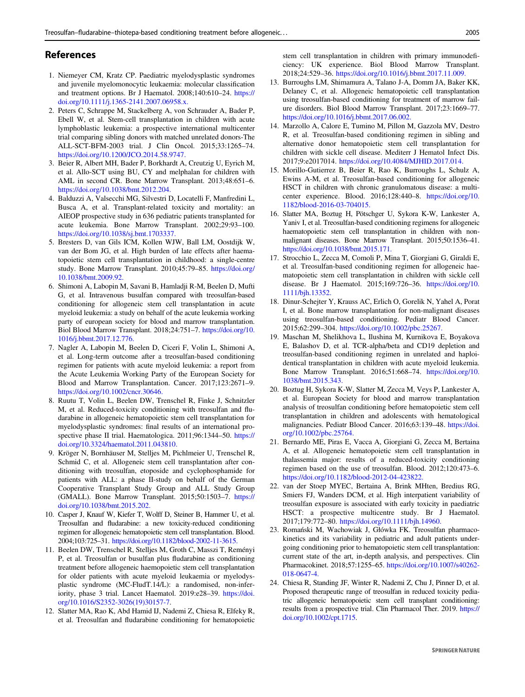## <span id="page-9-0"></span>References

- 1. Niemeyer CM, Kratz CP. Paediatric myelodysplastic syndromes and juvenile myelomonocytic leukaemia: molecular classification and treatment options. Br J Haematol. 2008;140:610–24. [https://](https://doi.org/10.1111/j.1365-2141.2007.06958.x.) [doi.org/10.1111/j.1365-2141.2007.06958.x.](https://doi.org/10.1111/j.1365-2141.2007.06958.x.)
- 2. Peters C, Schrappe M, Stackelberg A, von Schrauder A, Bader P, Ebell W, et al. Stem-cell transplantation in children with acute lymphoblastic leukemia: a prospective international multicenter trial comparing sibling donors with matched unrelated donors-The ALL-SCT-BFM-2003 trial. J Clin Oncol. 2015;33:1265–74. <https://doi.org/10.1200/JCO.2014.58.9747.>
- 3. Beier R, Albert MH, Bader P, Borkhardt A, Creutzig U, Eyrich M, et al. Allo-SCT using BU, CY and melphalan for children with AML in second CR. Bone Marrow Transplant. 2013;48:651–6. <https://doi.org/10.1038/bmt.2012.204.>
- 4. Balduzzi A, Valsecchi MG, Silvestri D, Locatelli F, Manfredini L, Busca A, et al. Transplant-related toxicity and mortality: an AIEOP prospective study in 636 pediatric patients transplanted for acute leukemia. Bone Marrow Transplant. 2002;29:93–100. <https://doi.org/10.1038/sj.bmt.1703337.>
- 5. Bresters D, van Gils ICM, Kollen WJW, Ball LM, Oostdijk W, van der Bom JG, et al. High burden of late effects after haematopoietic stem cell transplantation in childhood: a single-centre study. Bone Marrow Transplant. 2010;45:79–85. [https://doi.org/](https://doi.org/10.1038/bmt.2009.92.) [10.1038/bmt.2009.92.](https://doi.org/10.1038/bmt.2009.92.)
- 6. Shimoni A, Labopin M, Savani B, Hamladji R-M, Beelen D, Mufti G, et al. Intravenous busulfan compared with treosulfan-based conditioning for allogeneic stem cell transplantation in acute myeloid leukemia: a study on behalf of the acute leukemia working party of european society for blood and marrow transplantation. Biol Blood Marrow Transplant. 2018;24:751–7. [https://doi.org/10.](https://doi.org/10.1016/j.bbmt.2017.12.776.) [1016/j.bbmt.2017.12.776.](https://doi.org/10.1016/j.bbmt.2017.12.776.)
- 7. Nagler A, Labopin M, Beelen D, Ciceri F, Volin L, Shimoni A, et al. Long-term outcome after a treosulfan-based conditioning regimen for patients with acute myeloid leukemia: a report from the Acute Leukemia Working Party of the European Society for Blood and Marrow Transplantation. Cancer. 2017;123:2671–9. <https://doi.org/10.1002/cncr.30646.>
- 8. Ruutu T, Volin L, Beelen DW, Trenschel R, Finke J, Schnitzler M, et al. Reduced-toxicity conditioning with treosulfan and fludarabine in allogeneic hematopoietic stem cell transplantation for myelodysplastic syndromes: final results of an international prospective phase II trial. Haematologica. 2011;96:1344–50. [https://](https://doi.org/10.3324/haematol.2011.043810.) [doi.org/10.3324/haematol.2011.043810.](https://doi.org/10.3324/haematol.2011.043810.)
- 9. Kröger N, Bornhäuser M, Stelljes M, Pichlmeier U, Trenschel R, Schmid C, et al. Allogeneic stem cell transplantation after conditioning with treosulfan, etoposide and cyclophosphamide for patients with ALL: a phase II-study on behalf of the German Cooperative Transplant Study Group and ALL Study Group (GMALL). Bone Marrow Transplant. 2015;50:1503–7. [https://](https://doi.org/10.1038/bmt.2015.202.) [doi.org/10.1038/bmt.2015.202.](https://doi.org/10.1038/bmt.2015.202.)
- 10. Casper J, Knauf W, Kiefer T, Wolff D, Steiner B, Hammer U, et al. Treosulfan and fludarabine: a new toxicity-reduced conditioning regimen for allogeneic hematopoietic stem cell transplantation. Blood. 2004;103:725–31. <https://doi.org/10.1182/blood-2002-11-3615.>
- 11. Beelen DW, Trenschel R, Stelljes M, Groth C, Masszi T, Reményi P, et al. Treosulfan or busulfan plus fludarabine as conditioning treatment before allogeneic haemopoietic stem cell transplantation for older patients with acute myeloid leukaemia or myelodysplastic syndrome (MC-FludT.14/L): a randomised, non-inferiority, phase 3 trial. Lancet Haematol. 2019:e28–39. [https://doi.](https://doi.org/10.1016/S2352-3026(19)30157-7) [org/10.1016/S2352-3026\(19\)30157-7.](https://doi.org/10.1016/S2352-3026(19)30157-7)
- 12. Slatter MA, Rao K, Abd Hamid IJ, Nademi Z, Chiesa R, Elfeky R, et al. Treosulfan and fludarabine conditioning for hematopoietic

stem cell transplantation in children with primary immunodeficiency: UK experience. Biol Blood Marrow Transplant. 2018;24:529–36. <https://doi.org/10.1016/j.bbmt.2017.11.009.>

- 13. Burroughs LM, Shimamura A, Talano J-A, Domm JA, Baker KK, Delaney C, et al. Allogeneic hematopoietic cell transplantation using treosulfan-based conditioning for treatment of marrow failure disorders. Biol Blood Marrow Transplant. 2017;23:1669–77. <https://doi.org/10.1016/j.bbmt.2017.06.002.>
- 14. Marzollo A, Calore E, Tumino M, Pillon M, Gazzola MV, Destro R, et al. Treosulfan-based conditioning regimen in sibling and alternative donor hematopoietic stem cell transplantation for children with sickle cell disease. Mediterr J Hematol Infect Dis. 2017;9:e2017014. <https://doi.org/10.4084/MJHID.2017.014.>
- 15. Morillo-Gutierrez B, Beier R, Rao K, Burroughs L, Schulz A, Ewins A-M, et al. Treosulfan-based conditioning for allogeneic HSCT in children with chronic granulomatous disease: a multicenter experience. Blood. 2016;128:440–8. [https://doi.org/10.](https://doi.org/10.1182/blood-2016-03-704015.) [1182/blood-2016-03-704015.](https://doi.org/10.1182/blood-2016-03-704015.)
- 16. Slatter MA, Boztug H, Pötschger U, Sykora K-W, Lankester A, Yaniv I, et al. Treosulfan-based conditioning regimens for allogeneic haematopoietic stem cell transplantation in children with nonmalignant diseases. Bone Marrow Transplant. 2015;50:1536–41. <https://doi.org/10.1038/bmt.2015.171.>
- 17. Strocchio L, Zecca M, Comoli P, Mina T, Giorgiani G, Giraldi E, et al. Treosulfan-based conditioning regimen for allogeneic haematopoietic stem cell transplantation in children with sickle cell disease. Br J Haematol. 2015;169:726–36. [https://doi.org/10.](https://doi.org/10.1111/bjh.13352.) [1111/bjh.13352.](https://doi.org/10.1111/bjh.13352.)
- 18. Dinur-Schejter Y, Krauss AC, Erlich O, Gorelik N, Yahel A, Porat I, et al. Bone marrow transplantation for non-malignant diseases using treosulfan-based conditioning. Pediatr Blood Cancer. 2015;62:299–304. <https://doi.org/10.1002/pbc.25267.>
- 19. Maschan M, Shelikhova L, Ilushina M, Kurnikova E, Boyakova E, Balashov D, et al. TCR-alpha/beta and CD19 depletion and treosulfan-based conditioning regimen in unrelated and haploidentical transplantation in children with acute myeloid leukemia. Bone Marrow Transplant. 2016;51:668–74. [https://doi.org/10.](https://doi.org/10.1038/bmt.2015.343.) [1038/bmt.2015.343.](https://doi.org/10.1038/bmt.2015.343.)
- 20. Boztug H, Sykora K-W, Slatter M, Zecca M, Veys P, Lankester A, et al. European Society for blood and marrow transplantation analysis of treosulfan conditioning before hematopoietic stem cell transplantation in children and adolescents with hematological malignancies. Pediatr Blood Cancer. 2016;63:139–48. [https://doi.](https://doi.org/10.1002/pbc.25764.) [org/10.1002/pbc.25764.](https://doi.org/10.1002/pbc.25764.)
- 21. Bernardo ME, Piras E, Vacca A, Giorgiani G, Zecca M, Bertaina A, et al. Allogeneic hematopoietic stem cell transplantation in thalassemia major: results of a reduced-toxicity conditioning regimen based on the use of treosulfan. Blood. 2012;120:473–6. <https://doi.org/10.1182/blood-2012-04-423822.>
- 22. van der Stoep MYEC, Bertaina A, Brink MHten, Bredius RG, Smiers FJ, Wanders DCM, et al. High interpatient variability of treosulfan exposure is associated with early toxicity in paediatric HSCT: a prospective multicentre study. Br J Haematol. 2017;179:772–80. <https://doi.org/10.1111/bjh.14960.>
- 23. Romański M, Wachowiak J, Główka FK. Treosulfan pharmacokinetics and its variability in pediatric and adult patients undergoing conditioning prior to hematopoietic stem cell transplantation: current state of the art, in-depth analysis, and perspectives. Clin Pharmacokinet. 2018;57:1255–65. [https://doi.org/10.1007/s40262-](https://doi.org/10.1007/s40262-018-0647-4.) [018-0647-4.](https://doi.org/10.1007/s40262-018-0647-4.)
- 24. Chiesa R, Standing JF, Winter R, Nademi Z, Chu J, Pinner D, et al. Proposed therapeutic range of treosulfan in reduced toxicity pediatric allogeneic hematopoietic stem cell transplant conditioning: results from a prospective trial. Clin Pharmacol Ther. 2019. [https://](https://doi.org/10.1002/cpt.1715) [doi.org/10.1002/cpt.1715](https://doi.org/10.1002/cpt.1715).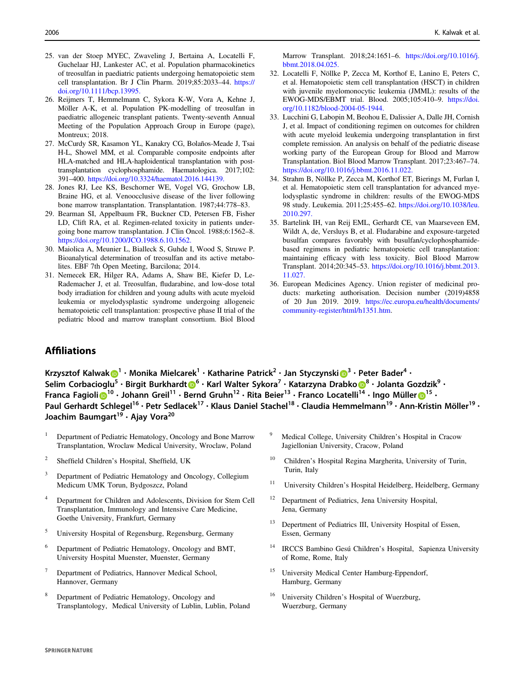- <span id="page-10-0"></span>25. van der Stoep MYEC, Zwaveling J, Bertaina A, Locatelli F, Guchelaar HJ, Lankester AC, et al. Population pharmacokinetics of treosulfan in paediatric patients undergoing hematopoietic stem cell transplantation. Br J Clin Pharm. 2019;85:2033–44. [https://](https://doi.org/10.1111/bcp.13995.) [doi.org/10.1111/bcp.13995.](https://doi.org/10.1111/bcp.13995.)
- 26. Reijmers T, Hemmelmann C, Sykora K-W, Vora A, Kehne J, Möller A-K, et al. Population PK-modelling of treosulfan in paediatric allogeneic transplant patients. Twenty-seventh Annual Meeting of the Population Approach Group in Europe (page), Montreux; 2018.
- 27. McCurdy SR, Kasamon YL, Kanakry CG, Bolaños-Meade J, Tsai H-L, Showel MM, et al. Comparable composite endpoints after HLA-matched and HLA-haploidentical transplantation with posttransplantation cyclophosphamide. Haematologica. 2017;102: 391–400. <https://doi.org/10.3324/haematol.2016.144139.>
- 28. Jones RJ, Lee KS, Beschorner WE, Vogel VG, Grochow LB, Braine HG, et al. Venoocclusive disease of the liver following bone marrow transplantation. Transplantation. 1987;44:778–83.
- 29. Bearman SI, Appelbaum FR, Buckner CD, Petersen FB, Fisher LD, Clift RA, et al. Regimen-related toxicity in patients undergoing bone marrow transplantation. J Clin Oncol. 1988;6:1562–8. <https://doi.org/10.1200/JCO.1988.6.10.1562.>
- 30. Maiolica A, Meunier L, Bialleck S, Guhde I, Wood S, Struwe P. Bioanalytical determination of treosulfan and its active metabolites. EBF 7th Open Meeting, Barcilona; 2014.
- 31. Nemecek ER, Hilger RA, Adams A, Shaw BE, Kiefer D, Le-Rademacher J, et al. Treosulfan, fludarabine, and low-dose total body irradiation for children and young adults with acute myeloid leukemia or myelodysplastic syndrome undergoing allogeneic hematopoietic cell transplantation: prospective phase II trial of the pediatric blood and marrow transplant consortium. Biol Blood

Marrow Transplant. 2018;24:1651–6. [https://doi.org/10.1016/j.](https://doi.org/10.1016/j.bbmt.2018.04.025.) [bbmt.2018.04.025.](https://doi.org/10.1016/j.bbmt.2018.04.025.)

- 32. Locatelli F, Nöllke P, Zecca M, Korthof E, Lanino E, Peters C, et al. Hematopoietic stem cell transplantation (HSCT) in children with juvenile myelomonocytic leukemia (JMML): results of the EWOG-MDS/EBMT trial. Blood. 2005;105:410–9. [https://doi.](https://doi.org/10.1182/blood-2004-05-1944.) [org/10.1182/blood-2004-05-1944.](https://doi.org/10.1182/blood-2004-05-1944.)
- 33. Lucchini G, Labopin M, Beohou E, Dalissier A, Dalle JH, Cornish J, et al. Impact of conditioning regimen on outcomes for children with acute myeloid leukemia undergoing transplantation in first complete remission. An analysis on behalf of the pediatric disease working party of the European Group for Blood and Marrow Transplantation. Biol Blood Marrow Transplant. 2017;23:467–74. <https://doi.org/10.1016/j.bbmt.2016.11.022.>
- 34. Strahm B, Nöllke P, Zecca M, Korthof ET, Bierings M, Furlan I, et al. Hematopoietic stem cell transplantation for advanced myelodysplastic syndrome in children: results of the EWOG-MDS 98 study. Leukemia. 2011;25:455–62. [https://doi.org/10.1038/leu.](https://doi.org/10.1038/leu.2010.297.) [2010.297.](https://doi.org/10.1038/leu.2010.297.)
- 35. Bartelink IH, van Reij EML, Gerhardt CE, van Maarseveen EM, Wildt A, de, Versluys B, et al. Fludarabine and exposure-targeted busulfan compares favorably with busulfan/cyclophosphamidebased regimens in pediatric hematopoietic cell transplantation: maintaining efficacy with less toxicity. Biol Blood Marrow Transplant. 2014;20:345–53. [https://doi.org/10.1016/j.bbmt.2013.](https://doi.org/10.1016/j.bbmt.2013.11.027.) [11.027.](https://doi.org/10.1016/j.bbmt.2013.11.027.)
- 36. European Medicines Agency. Union register of medicinal products: marketing authorisation. Decision number (2019)4858 of 20 Jun 2019. 2019. [https://ec.europa.eu/health/documents/](https://ec.europa.eu/health/documents/community-register/html/h1351.htm) [community-register/html/h1351.htm](https://ec.europa.eu/health/documents/community-register/html/h1351.htm).

# **Affiliations**

Krzysztof Kalwa[k](http://orcid.org/0000-0003-1174-5799) $\bigcirc^1 \cdot$  $\bigcirc^1 \cdot$  $\bigcirc^1 \cdot$  Monika Mielcarek $^1 \cdot$  Katharine Patrick $^2 \cdot$  Jan Styczynski $\bigcirc^3 \cdot$  $\bigcirc^3 \cdot$  $\bigcirc^3 \cdot$  Peter Bader $^4 \cdot$ Selim Corbacioglu<sup>5</sup> • Birgi[t](http://orcid.org/0000-0002-1151-829X) Burkhardt D<sup>[6](http://orcid.org/0000-0002-1151-829X)</sup> • Karl Walter Syk[o](http://orcid.org/0000-0002-7094-9129)ra<sup>7</sup> • Katarzyna Drabko D<sup>[8](http://orcid.org/0000-0002-7094-9129)</sup> • Jolanta Gozdzik<sup>9</sup> • Franca Fagioli D<sup>[1](http://orcid.org/0000-0002-7477-6632)0</sup> • Johann G[r](http://orcid.org/0000-0002-7477-6632)eil<sup>11</sup> • Bernd Gruhn<sup>12</sup> • Rita Beier<sup>13</sup> • Franco Locatelli<sup>14</sup> • Ingo Müller D<sup>15</sup> • Paul Gerhardt Schlegel<sup>16</sup> • Petr Sedlacek<sup>17</sup> • Klaus Daniel Stachel<sup>18</sup> • Claudia Hemmelmann<sup>19</sup> • Ann-Kristin Möller<sup>19</sup> • Joachim Baumgart<sup>19</sup> • Ajay Vora<sup>20</sup>

- <sup>1</sup> Department of Pediatric Hematology, Oncology and Bone Marrow Transplantation, Wroclaw Medical University, Wroclaw, Poland
- <sup>2</sup> Sheffield Children's Hospital, Sheffield, UK
- <sup>3</sup> Department of Pediatric Hematology and Oncology, Collegium Medicum UMK Torun, Bydgoszcz, Poland
- <sup>4</sup> Department for Children and Adolescents, Division for Stem Cell Transplantation, Immunology and Intensive Care Medicine, Goethe University, Frankfurt, Germany
- <sup>5</sup> University Hospital of Regensburg, Regensburg, Germany
- <sup>6</sup> Department of Pediatric Hematology, Oncology and BMT, University Hospital Muenster, Muenster, Germany
- Department of Pediatrics, Hannover Medical School, Hannover, Germany
- <sup>8</sup> Department of Pediatric Hematology, Oncology and Transplantology, Medical University of Lublin, Lublin, Poland
- <sup>9</sup> Medical College, University Children's Hospital in Cracow Jagiellonian University, Cracow, Poland
- <sup>10</sup> Children's Hospital Regina Margherita, University of Turin, Turin, Italy
- <sup>11</sup> University Children's Hospital Heidelberg, Heidelberg, Germany
- <sup>12</sup> Department of Pediatrics, Jena University Hospital, Jena, Germany
- <sup>13</sup> Depertment of Pediatrics III, University Hospital of Essen, Essen, Germany
- <sup>14</sup> IRCCS Bambino Gesú Children's Hospital, Sapienza University of Rome, Rome, Italy
- University Medical Center Hamburg-Eppendorf, Hamburg, Germany
- <sup>16</sup> University Children's Hospital of Wuerzburg, Wuerzburg, Germany